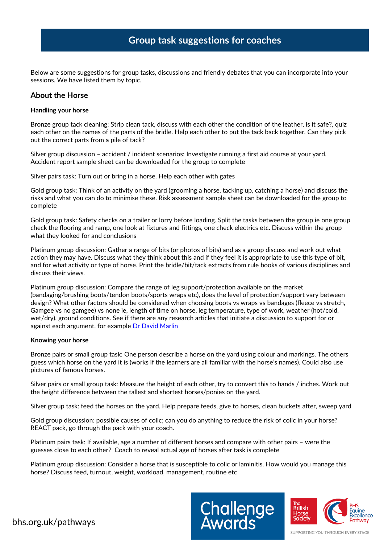# **Group task suggestions for coaches**

Below are some suggestions for group tasks, discussions and friendly debates that you can incorporate into your sessions. We have listed them by topic.

### **About the Horse**

### **Handling your horse**

Bronze group tack cleaning: Strip clean tack, discuss with each other the condition of the leather, is it safe?, quiz each other on the names of the parts of the bridle. Help each other to put the tack back together. Can they pick out the correct parts from a pile of tack?

Silver group discussion – accident / incident scenarios: Investigate running a first aid course at your yard. Accident report sample sheet can be downloaded for the group to complete

Silver pairs task: Turn out or bring in a horse. Help each other with gates

Gold group task: Think of an activity on the yard (grooming a horse, tacking up, catching a horse) and discuss the risks and what you can do to minimise these. Risk assessment sample sheet can be downloaded for the group to complete

Gold group task: Safety checks on a trailer or lorry before loading. Split the tasks between the group ie one group check the flooring and ramp, one look at fixtures and fittings, one check electrics etc. Discuss within the group what they looked for and conclusions

Platinum group discussion: Gather a range of bits (or photos of bits) and as a group discuss and work out what action they may have. Discuss what they think about this and if they feel it is appropriate to use this type of bit, and for what activity or type of horse. Print the bridle/bit/tack extracts from rule books of various disciplines and discuss their views.

Platinum group discussion: Compare the range of leg support/protection available on the market (bandaging/brushing boots/tendon boots/sports wraps etc), does the level of protection/support vary between design? What other factors should be considered when choosing boots vs wraps vs bandages (fleece vs stretch, Gamgee vs no gamgee) vs none ie, length of time on horse, leg temperature, type of work, weather (hot/cold, wet/dry), ground conditions. See if there are any research articles that initiate a discussion to support for or against each argument, for exampl[e Dr David Marlin](http://davidmarlin.co.uk/portfolio/protective-boots-for-horses-the-pros-and-cons/)

### **Knowing your horse**

Bronze pairs or small group task: One person describe a horse on the yard using colour and markings. The others guess which horse on the yard it is (works if the learners are all familiar with the horse's names). Could also use pictures of famous horses.

Silver pairs or small group task: Measure the height of each other, try to convert this to hands / inches. Work out the height difference between the tallest and shortest horses/ponies on the yard.

Silver group task: feed the horses on the yard. Help prepare feeds, give to horses, clean buckets after, sweep yard

Gold group discussion: possible causes of colic; can you do anything to reduce the risk of colic in your horse? REACT pack, go through the pack with your coach.

Platinum pairs task: If available, age a number of different horses and compare with other pairs – were the guesses close to each other? Coach to reveal actual age of horses after task is complete

Platinum group discussion: Consider a horse that is susceptible to colic or laminitis. How would you manage this horse? Discuss feed, turnout, weight, workload, management, routine etc



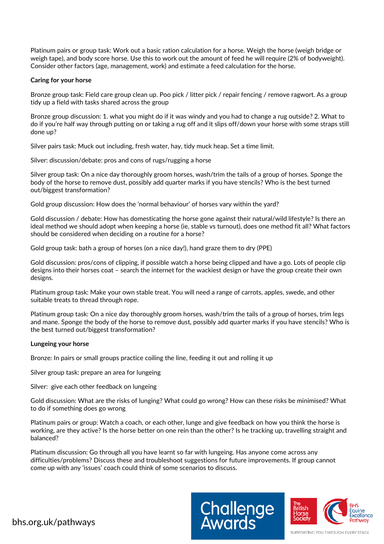Platinum pairs or group task: Work out a basic ration calculation for a horse. Weigh the horse (weigh bridge or weigh tape), and body score horse. Use this to work out the amount of feed he will require (2% of bodyweight). Consider other factors (age, management, work) and estimate a feed calculation for the horse.

### **Caring for your horse**

Bronze group task: Field care group clean up. Poo pick / litter pick / repair fencing / remove ragwort. As a group tidy up a field with tasks shared across the group

Bronze group discussion: 1. what you might do if it was windy and you had to change a rug outside? 2. What to do if you're half way through putting on or taking a rug off and it slips off/down your horse with some straps still done up?

Silver pairs task: Muck out including, fresh water, hay, tidy muck heap. Set a time limit.

Silver: discussion/debate: pros and cons of rugs/rugging a horse

Silver group task: On a nice day thoroughly groom horses, wash/trim the tails of a group of horses. Sponge the body of the horse to remove dust, possibly add quarter marks if you have stencils? Who is the best turned out/biggest transformation?

Gold group discussion: How does the 'normal behaviour' of horses vary within the yard?

Gold discussion / debate: How has domesticating the horse gone against their natural/wild lifestyle? Is there an ideal method we should adopt when keeping a horse (ie, stable vs turnout), does one method fit all? What factors should be considered when deciding on a routine for a horse?

Gold group task: bath a group of horses (on a nice day!), hand graze them to dry (PPE)

Gold discussion: pros/cons of clipping, if possible watch a horse being clipped and have a go. Lots of people clip designs into their horses coat – search the internet for the wackiest design or have the group create their own designs.

Platinum group task: Make your own stable treat. You will need a range of carrots, apples, swede, and other suitable treats to thread through rope.

Platinum group task: On a nice day thoroughly groom horses, wash/trim the tails of a group of horses, trim legs and mane. Sponge the body of the horse to remove dust, possibly add quarter marks if you have stencils? Who is the best turned out/biggest transformation?

#### **Lungeing your horse**

Bronze: In pairs or small groups practice coiling the line, feeding it out and rolling it up

Silver group task: prepare an area for lungeing

Silver: give each other feedback on lungeing

Gold discussion: What are the risks of lunging? What could go wrong? How can these risks be minimised? What to do if something does go wrong

Platinum pairs or group: Watch a coach, or each other, lunge and give feedback on how you think the horse is working, are they active? Is the horse better on one rein than the other? Is he tracking up, travelling straight and balanced?

Platinum discussion: Go through all you have learnt so far with lungeing. Has anyone come across any difficulties/problems? Discuss these and troubleshoot suggestions for future improvements. If group cannot come up with any 'issues' coach could think of some scenarios to discuss.



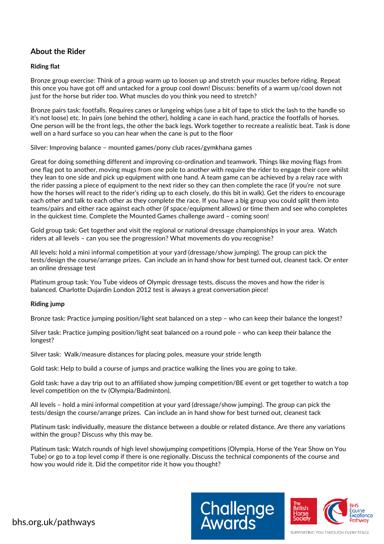## **About the Rider**

### **Riding flat**

Bronze group exercise: Think of a group warm up to loosen up and stretch your muscles before riding. Repeat this once you have got off and untacked for a group cool down! Discuss: benefits of a warm up/cool down not just for the horse but rider too. What muscles do you think you need to stretch?

Bronze pairs task: footfalls. Requires canes or lungeing whips (use a bit of tape to stick the lash to the handle so it's not loose) etc. In pairs (one behind the other), holding a cane in each hand, practice the footfalls of horses. One person will be the front legs, the other the back legs. Work together to recreate a realistic beat. Task is done well on a hard surface so you can hear when the cane is put to the floor

Silver: Improving balance – mounted games/pony club races/gymkhana games

Great for doing something different and improving co-ordination and teamwork. Things like moving flags from one flag pot to another, moving mugs from one pole to another with require the rider to engage their core whilst they lean to one side and pick up equipment with one hand. A team game can be achieved by a relay race with the rider passing a piece of equipment to the next rider so they can then complete the race (if you're not sure how the horses will react to the rider's riding up to each closely, do this bit in walk). Get the riders to encourage each other and talk to each other as they complete the race. If you have a big group you could split them into teams/pairs and either race against each other (if space/equipment allows) or time them and see who completes in the quickest time. Complete the Mounted Games challenge award – coming soon!

Gold group task: Get together and visit the regional or national dressage championships in your area. Watch riders at all levels – can you see the progression? What movements do you recognise?

All levels: hold a mini informal competition at your yard (dressage/show jumping). The group can pick the tests/design the course/arrange prizes. Can include an in hand show for best turned out, cleanest tack. Or enter an online dressage test

Platinum group task: You Tube videos of Olympic dressage tests, discuss the moves and how the rider is balanced. Charlotte Dujardin London 2012 test is always a great conversation piece!

### **Riding jump**

Bronze task: Practice jumping position/light seat balanced on a step – who can keep their balance the longest?

Silver task: Practice jumping position/light seat balanced on a round pole – who can keep their balance the longest?

Silver task: Walk/measure distances for placing poles, measure your stride length

Gold task: Help to build a course of jumps and practice walking the lines you are going to take.

Gold task: have a day trip out to an affiliated show jumping competition/BE event or get together to watch a top level competition on the tv (Olympia/Badminton).

All levels – hold a mini informal competition at your yard (dressage/show jumping). The group can pick the tests/design the course/arrange prizes. Can include an in hand show for best turned out, cleanest tack

Platinum task: individually, measure the distance between a double or related distance. Are there any variations within the group? Discuss why this may be.

Platinum task: Watch rounds of high level showjumping competitions (Olympia, Horse of the Year Show on You Tube) or go to a top level comp if there is one regionally. Discuss the technical components of the course and how you would ride it. Did the competitor ride it how you thought?